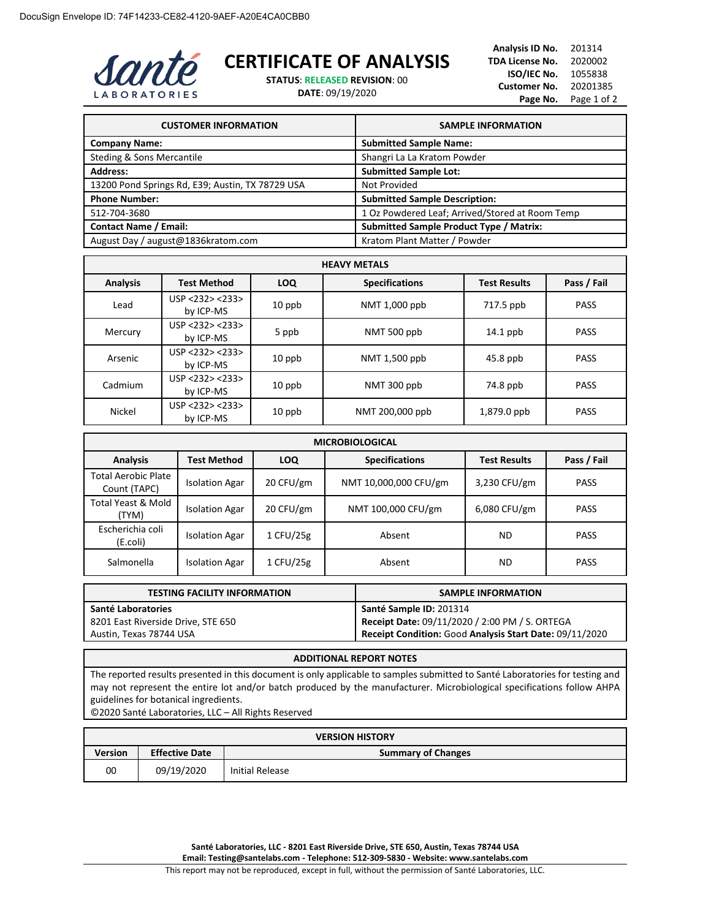

## **CERTIFICATE OF ANALYSIS**

**STATUS**: **RELEASED REVISION**: 00

**DATE**: 09/19/2020

| <b>CUSTOMER INFORMATION</b>                      | <b>SAMPLE INFORMATION</b>                       |  |
|--------------------------------------------------|-------------------------------------------------|--|
| <b>Company Name:</b>                             | <b>Submitted Sample Name:</b>                   |  |
| <b>Steding &amp; Sons Mercantile</b>             | Shangri La La Kratom Powder                     |  |
| <b>Address:</b>                                  | <b>Submitted Sample Lot:</b>                    |  |
| 13200 Pond Springs Rd, E39; Austin, TX 78729 USA | Not Provided                                    |  |
| <b>Phone Number:</b>                             | <b>Submitted Sample Description:</b>            |  |
| 512-704-3680                                     | 1 Oz Powdered Leaf; Arrived/Stored at Room Temp |  |
| <b>Contact Name / Email:</b>                     | <b>Submitted Sample Product Type / Matrix:</b>  |  |
| August Day / august@1836kratom.com               | Kratom Plant Matter / Powder                    |  |

| <b>HEAVY METALS</b> |                              |            |                       |                     |             |
|---------------------|------------------------------|------------|-----------------------|---------------------|-------------|
| <b>Analysis</b>     | <b>Test Method</b>           | <b>LOQ</b> | <b>Specifications</b> | <b>Test Results</b> | Pass / Fail |
| Lead                | USP < 232 > 233<br>by ICP-MS | $10$ ppb   | NMT 1,000 ppb         | 717.5 ppb           | <b>PASS</b> |
| Mercury             | USP < 232 > 233<br>by ICP-MS | 5 ppb      | NMT 500 ppb           | $14.1$ ppb          | <b>PASS</b> |
| Arsenic             | USP < 232 > 233<br>by ICP-MS | $10$ ppb   | NMT 1,500 ppb         | $45.8$ ppb          | <b>PASS</b> |
| Cadmium             | USP < 232 > 233<br>by ICP-MS | $10$ ppb   | NMT 300 ppb           | 74.8 ppb            | <b>PASS</b> |
| <b>Nickel</b>       | USP <232> <233><br>by ICP-MS | $10$ ppb   | NMT 200,000 ppb       | 1,879.0 ppb         | <b>PASS</b> |

| <b>MICROBIOLOGICAL</b>                     |                       |            |                       |                     |             |
|--------------------------------------------|-----------------------|------------|-----------------------|---------------------|-------------|
| <b>Analysis</b>                            | Test Method           | <b>LOQ</b> | <b>Specifications</b> | <b>Test Results</b> | Pass / Fail |
| <b>Total Aerobic Plate</b><br>Count (TAPC) | <b>Isolation Agar</b> | 20 CFU/gm  | NMT 10,000,000 CFU/gm | 3,230 CFU/gm        | <b>PASS</b> |
| Total Yeast & Mold<br>(TYM)                | <b>Isolation Agar</b> | 20 CFU/gm  | NMT 100,000 CFU/gm    | $6,080$ CFU/gm      | <b>PASS</b> |
| Escherichia coli<br>(E.coli)               | <b>Isolation Agar</b> | 1 CFU/25g  | Absent                | <b>ND</b>           | <b>PASS</b> |
| Salmonella                                 | <b>Isolation Agar</b> | 1 CFU/25g  | Absent                | ND                  | <b>PASS</b> |

| <b>TESTING FACILITY INFORMATION</b> | <b>SAMPLE INFORMATION</b>                               |  |
|-------------------------------------|---------------------------------------------------------|--|
| Santé Laboratories                  | Santé Sample ID: 201314                                 |  |
| 8201 East Riverside Drive, STE 650  | Receipt Date: 09/11/2020 / 2:00 PM / S. ORTEGA          |  |
| Austin, Texas 78744 USA             | Receipt Condition: Good Analysis Start Date: 09/11/2020 |  |

## **ADDITIONAL REPORT NOTES**

The reported results presented in this document is only applicable to samples submitted to Santé Laboratories for testing and may not represent the entire lot and/or batch produced by the manufacturer. Microbiological specifications follow AHPA guidelines for botanical ingredients.

©2020 Santé Laboratories, LLC – All Rights Reserved

| <b>VERSION HISTORY</b> |                                                    |                 |  |
|------------------------|----------------------------------------------------|-----------------|--|
| Version                | <b>Effective Date</b><br><b>Summary of Changes</b> |                 |  |
| 00                     | 09/19/2020                                         | Initial Release |  |